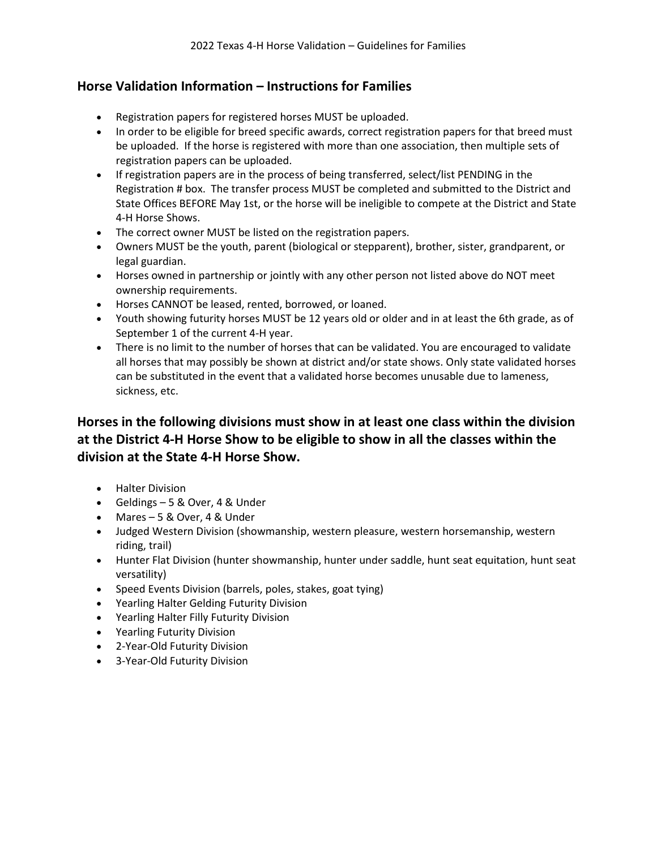### **Horse Validation Information – Instructions for Families**

- Registration papers for registered horses MUST be uploaded.
- In order to be eligible for breed specific awards, correct registration papers for that breed must be uploaded. If the horse is registered with more than one association, then multiple sets of registration papers can be uploaded.
- If registration papers are in the process of being transferred, select/list PENDING in the Registration # box. The transfer process MUST be completed and submitted to the District and State Offices BEFORE May 1st, or the horse will be ineligible to compete at the District and State 4-H Horse Shows.
- The correct owner MUST be listed on the registration papers.
- Owners MUST be the youth, parent (biological or stepparent), brother, sister, grandparent, or legal guardian.
- Horses owned in partnership or jointly with any other person not listed above do NOT meet ownership requirements.
- Horses CANNOT be leased, rented, borrowed, or loaned.
- Youth showing futurity horses MUST be 12 years old or older and in at least the 6th grade, as of September 1 of the current 4-H year.
- There is no limit to the number of horses that can be validated. You are encouraged to validate all horses that may possibly be shown at district and/or state shows. Only state validated horses can be substituted in the event that a validated horse becomes unusable due to lameness, sickness, etc.

## **Horses in the following divisions must show in at least one class within the division at the District 4-H Horse Show to be eligible to show in all the classes within the division at the State 4-H Horse Show.**

- Halter Division
- Geldings 5 & Over, 4 & Under
- Mares 5 & Over, 4 & Under
- Judged Western Division (showmanship, western pleasure, western horsemanship, western riding, trail)
- Hunter Flat Division (hunter showmanship, hunter under saddle, hunt seat equitation, hunt seat versatility)
- Speed Events Division (barrels, poles, stakes, goat tying)
- Yearling Halter Gelding Futurity Division
- Yearling Halter Filly Futurity Division
- Yearling Futurity Division
- 2-Year-Old Futurity Division
- 3-Year-Old Futurity Division